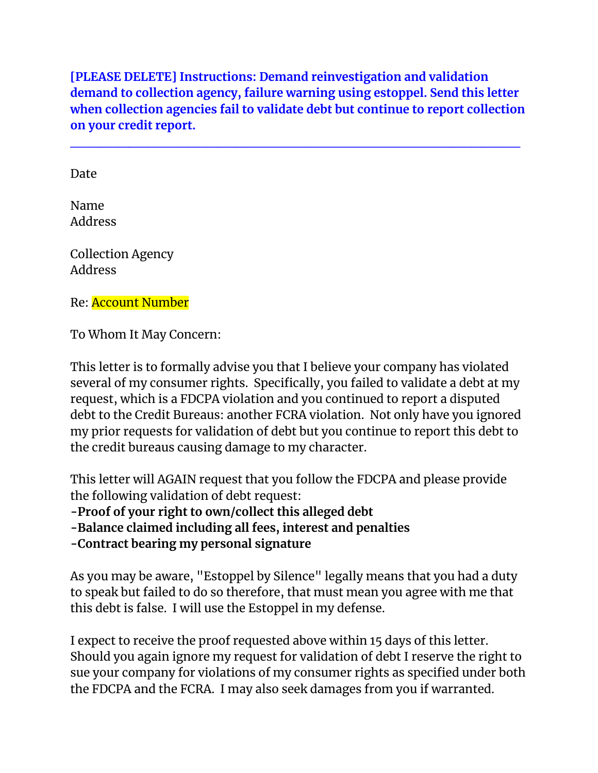**[PLEASE DELETE] Instructions: Demand reinvestigation and validation demand to collection agency, failure warning using estoppel. Send this letter when collection agencies fail to validate debt but continue to report collection on your credit report.**

**\_\_\_\_\_\_\_\_\_\_\_\_\_\_\_\_\_\_\_\_\_\_\_\_\_\_\_\_\_\_\_\_\_\_\_\_\_\_\_\_\_\_\_\_\_\_**

Date

Name Address

Collection Agency Address

Re: Account Number

To Whom It May Concern:

This letter is to formally advise you that I believe your company has violated several of my consumer rights. Specifically, you failed to validate a debt at my request, which is a FDCPA violation and you continued to report a disputed debt to the Credit Bureaus: another FCRA violation. Not only have you ignored my prior requests for validation of debt but you continue to report this debt to the credit bureaus causing damage to my character.

This letter will AGAIN request that you follow the FDCPA and please provide the following validation of debt request:

**-Proof of your right to own/collect this alleged debt**

**-Balance claimed including all fees, interest and penalties**

**-Contract bearing my personal signature**

As you may be aware, "Estoppel by Silence" legally means that you had a duty to speak but failed to do so therefore, that must mean you agree with me that this debt is false. I will use the Estoppel in my defense.

I expect to receive the proof requested above within 15 days of this letter. Should you again ignore my request for validation of debt I reserve the right to sue your company for violations of my consumer rights as specified under both the FDCPA and the FCRA. I may also seek damages from you if warranted.